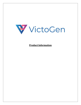

**Product Information**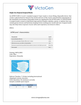

#### **Single‐Use Disposal Surgical Masks**

An ASTM F1200-11 Level 1 standard surgical 3-layer mask is a loose-fitting, disposable device that creates a physical barrier between the mouth and nose of the wearer and potential contaminants in the immediate environment. Disposable masks are regulated by the US FDA under 21 CFR 878.4040. A surgical mask is meant to help block large-particle droplets, splashes, sprays, or splatter that may contain germs (viruses and bacteria), keeping it from reaching your mouth and nose. Surgical masks may also help reduce exposure of your saliva and respiratory secretions to others.

SPECS: 

| <b>ASTM Level 1 characteristics</b>                                                     |                    |
|-----------------------------------------------------------------------------------------|--------------------|
| Characteristic                                                                          | Level 1            |
| <b>Bacterial filtration efficiency</b>                                                  | ≥95%               |
| Sub-micron particulates filtration efficient at 0.1 micron                              | $\geq 95\%$        |
| Differential pressure, mm H20/cm2 (Breathability)                                       | < 4.0              |
| Resistance to penetration by synthetic blood, minimum pressure in mm Hq for pass resuls | 80 mm Hq           |
| Flame spread                                                                            | Class <sub>1</sub> |

Packing: 50PCS/BOX Color: Blue Expiration: 24 months



Delivery Timeline: 7-10 days including international shipping & customs clearance Order Quantities: No minimum currently Samples available upon request

| Volume (Units) | Cost/Unit |
|----------------|-----------|
|                | \$0.89    |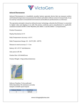

## **InfraredThermometer**

Infrared Thermometer is a handheld, reusable, battery operated, device that can measure surface and forehead temperature measurement for infants and adults without contact to human body. It can be used by consumers in household environment and healthcare professionals as areference.

The operation principle is based on infrared sensor technology, whereby the IR Sensor is converted to digital value and displays it to LCD. The device conforms and is manufactured to applicable standards included ASTM E 1965-98(2003), IEC 60601-1 and IEC 60601-1-2 requirements.

Product Parameters

Display Resolution:  $0.1^{\circ}$ C

Body Temperature Accuracy:  $\pm 0.3^{\circ}$ C

Body Temperature Range:  $32 - 42.9$ °C (90 – 109°F)

Distance to meet accuracy:  $3 - 5$  cm

Battery: DC 1.5V 2<sup>\*</sup> AAA Batteries

Auto power off: 18s

Product Size: 167x44x82 mm

Product Weight: 110g (without batteries)



Delivery Timeline: To be confirmed Order Quantities: No minimum currently Samples available upon request

| Volume (Units) | Cost/Unit |
|----------------|-----------|
|                | \$49.68   |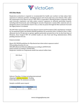

### **N95 Filter Masks**

Respiratory protection is required or recommended for health care workers to help reduce their exposures to airborne particles, including bacteria and viruses that may cause disease. Most often the requirement is for them to use an "N95, FFP2 or equivalent" filtering facepiece respirator. When used correctly, respirators can help reduce wearers' exposures to airborne particulate hazards, including both bioaerosols and nonbiological aerosols. Respirators contain filter material and are designed to form a seal with the wearer's face, so that air passes through the filter (instead of around the edges) before it is inhaled.

The N95 filter mask meets Centers for Disease Control and Prevention (CDC) and National Institute for Occupational Safety and Health (NIOSH) guidelines for protection and is certified to have a filter efficiency level of 95 percent or greater against particulate aerosols free of oil. As the front lines of filtration, these Surgical N95 CE certified masks are also Food and Drug Administration (FDA) pending clearance for use.

Features include:

Meets CDC/NIOSH guidelines for Mycobacterium tuberculosis exposure control FDA pending clearance for use 99% BFE (Bacterial Filtration Efficiency) according to ASTM F2101 Fluid resistant according to ASTM F1862 Respirator contains no components made from natural rubber latex



Delivery Timeline: 5-8 days including international shipping & customs clearance - Pending Order Quantities: No minimum currently

Samples available upon request

| Volume (Units) | Cost/Unit |
|----------------|-----------|
|                | \$2.81    |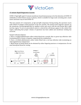

### **15‐minute Rapid DiagnosticsCassette**

COVID-19  $\lg G / \lg M$  rapid 15-minute membrane-based immunoassay is for the detection of COVID-19 antibodies in whole blood, serum or plasma, which is suitable for large-scale screening and a much easier and faster way to test COVID-19.

This test consists of 2 components, an  $I_gG$  and  $I_gM$  component. During testing, the specimen reacts with COVID-19 antigen-coated particles in the test cassette. The mixture then migrates upward on the membrane chromatographically by capillary action and reacts with the anti-human IgG in IgM test line region. To serve as procedural control, a colored line will always appear in the control line region, indicating that proper volume of specimen has been added and membrane wicking has occurred. 

Sample Collection Options:

a. Have a certified phlebotomist collect whole blood into a purple, blue or green top collection tube (containing EDTA, citrate or heparin, respectively) by venipuncture

b. Have a certified phlebotomist collect whole blood into a red top collection tube (containing no anticoagulants) by venipuncture

c. Blood drops of whole blood can be obtained by either fingertip puncture or venipuncture. Do not used hemolyzed blood for testing

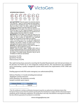

#### **INTERPRETATION OF RESULTS**

|          |          |          | $\begin{array}{ccc}\nG & G \\ G & G \\ G & G \\ G & G\n\end{array}$ |         |         |                       |
|----------|----------|----------|---------------------------------------------------------------------|---------|---------|-----------------------|
| Positive | Positive | Positive | Negative                                                            | Invalid | Invalid | Invalid<br>$(\times)$ |

IgG & IgM POSITIVE:\*Three lines appear. One colored line should be in the control line region (C), and two colored lines should appear in IgG test line region and IgM test line region. The color intensities of the lines do not have to match. The result is positive for IgG & IgM antibodies and is indicative of secondary SARS-COV-2 infection.

IgG POSITIVE:\*Two lines appear. One colored line should be in the control line region (C), and a colored line appears in IgG test line region. The result is positive for SARS-COV-2 virus specific-lgG and is probably indicative of secondary SARS-COV-2 infection.

IgM POSITIVE:\*Two lines appear. One colored line should be in the control line region (C), and a colored line appears in IgM test line region. The result is positive for SARS-COV-2 virus specific-IgM antibodies and is indicative of primary SARS-COV-2 infection.

\*NOTE: The intensity of the color in the IgG and/or IgM test line region(s) will vary depending on the concentration of SARS-COV-2 antibodies in the specimen. Therefore, any shade of color in the IgG and/or IgM test line region(s) should be considered positive.

NEGATIVE: One colored line should be in the control line region (C). No line appears in IgG and IgM test line region(s).

INVALID: Control line fails to appear. Insufficient buffer volume or incorrect procedural techniques are the most likely reasons for control line failure. Review the procedure and repeat the procedure with a new test cassette. If the problem persists, discontinue using the test kit immediately and contact your local distributor.

Sensitivity: 91.49% Specificity: 96.63% Total accuracy: 95.29%

The rapid test has been assessed as meeting the Essential Requirements and relevant provisions of EC directive  $97/79/EC^1$  for in vitro diagnostic medical devices. The manufacturer has established and is maintaining a quality management system which meets the requirements of ISO 13485 and ISO 900. 

Pending approval with FDA under emergency use authorization (EUA).

Delivery Timeline: 2-3 weeks including international shipping & customs clearance Order Quantities: No minimum currently Samples available upon request

| Volume (Units) | Cost/Unit |
|----------------|-----------|
|                | \$10.50   |

 $1$  The CE certificate is written certification document issued by an authorized certification body of the European Union to prove that the products produced by the manufacture comply with the relevant European standards and CE certification regulations. CE certification is not only a threshold for entering the EU market, but also effective guarantee for products to avoid risks.